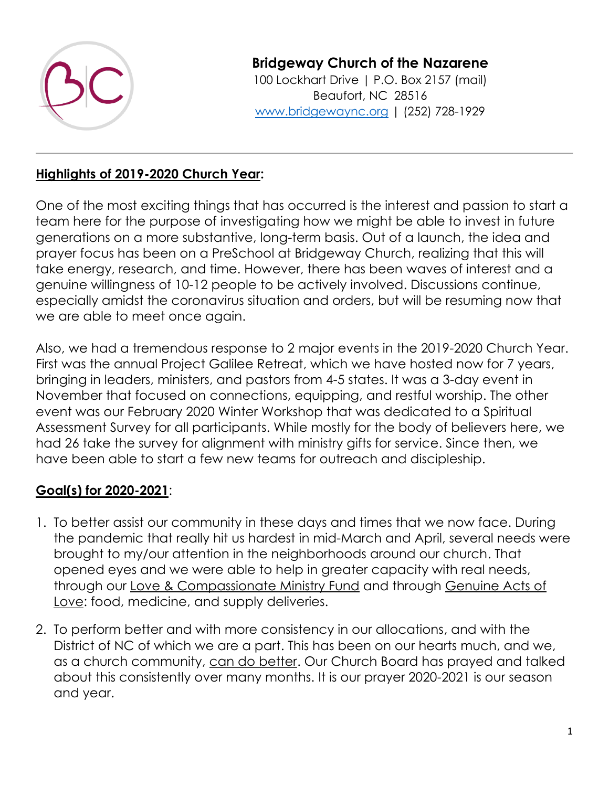

**Bridgeway Church of the Nazarene**

100 Lockhart Drive | P.O. Box 2157 (mail) Beaufort, NC 28516 [www.bridgewaync.org](http://www.bridgewaync.org/) | (252) 728-1929

## **Highlights of 2019-2020 Church Year:**

One of the most exciting things that has occurred is the interest and passion to start a team here for the purpose of investigating how we might be able to invest in future generations on a more substantive, long-term basis. Out of a launch, the idea and prayer focus has been on a PreSchool at Bridgeway Church, realizing that this will take energy, research, and time. However, there has been waves of interest and a genuine willingness of 10-12 people to be actively involved. Discussions continue, especially amidst the coronavirus situation and orders, but will be resuming now that we are able to meet once again.

Also, we had a tremendous response to 2 major events in the 2019-2020 Church Year. First was the annual Project Galilee Retreat, which we have hosted now for 7 years, bringing in leaders, ministers, and pastors from 4-5 states. It was a 3-day event in November that focused on connections, equipping, and restful worship. The other event was our February 2020 Winter Workshop that was dedicated to a Spiritual Assessment Survey for all participants. While mostly for the body of believers here, we had 26 take the survey for alignment with ministry gifts for service. Since then, we have been able to start a few new teams for outreach and discipleship.

## **Goal(s) for 2020-2021**:

- 1. To better assist our community in these days and times that we now face. During the pandemic that really hit us hardest in mid-March and April, several needs were brought to my/our attention in the neighborhoods around our church. That opened eyes and we were able to help in greater capacity with real needs, through our Love & Compassionate Ministry Fund and through Genuine Acts of Love: food, medicine, and supply deliveries.
- 2. To perform better and with more consistency in our allocations, and with the District of NC of which we are a part. This has been on our hearts much, and we, as a church community, can do better. Our Church Board has prayed and talked about this consistently over many months. It is our prayer 2020-2021 is our season and year.